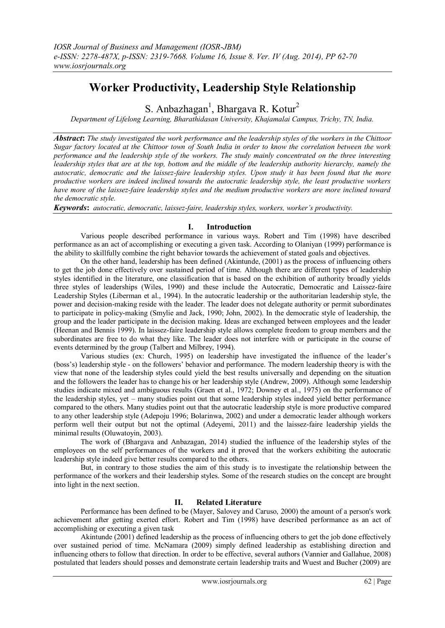# **Worker Productivity, Leadership Style Relationship**

S. Anbazhagan<sup>1</sup>, Bhargava R. Kotur<sup>2</sup>

*Department of Lifelong Learning, Bharathidasan University, Khajamalai Campus, Trichy, TN, India.*

*Abstract***:** *The study investigated the work performance and the leadership styles of the workers in the Chittoor Sugar factory located at the Chittoor town of South India in order to know the correlation between the work performance and the leadership style of the workers. The study mainly concentrated on the three interesting leadership styles that are at the top, bottom and the middle of the leadership authority hierarchy, namely the autocratic, democratic and the laissez-faire leadership styles. Upon study it has been found that the more productive workers are indeed inclined towards the autocratic leadership style, the least productive workers have more of the laissez-faire leadership styles and the medium productive workers are more inclined toward the democratic style.*

*Keywords***:** *autocratic, democratic, laissez-faire, leadership styles, workers, worker's productivity.*

# **I. Introduction**

Various people described performance in various ways. Robert and Tim (1998) have described performance as an act of accomplishing or executing a given task. According to Olaniyan (1999) performance is the ability to skillfully combine the right behavior towards the achievement of stated goals and objectives.

On the other hand, leadership has been defined (Akintunde, (2001) as the process of influencing others to get the job done effectively over sustained period of time. Although there are different types of leadership styles identified in the literature, one classification that is based on the exhibition of authority broadly yields three styles of leaderships (Wiles, 1990) and these include the Autocratic, Democratic and Laissez-faire Leadership Styles (Liberman et al., 1994). In the autocratic leadership or the authoritarian leadership style, the power and decision-making reside with the leader. The leader does not delegate authority or permit subordinates to participate in policy-making (Smylie and Jack, 1990; John, 2002). In the democratic style of leadership, the group and the leader participate in the decision making. Ideas are exchanged between employees and the leader (Heenan and Bennis 1999). In laissez-faire leadership style allows complete freedom to group members and the subordinates are free to do what they like. The leader does not interfere with or participate in the course of events determined by the group (Talbert and Milbrey, 1994).

Various studies (ex: Church, 1995) on leadership have investigated the influence of the leader"s (boss"s) leadership style - on the followers" behavior and performance. The modern leadership theory is with the view that none of the leadership styles could yield the best results universally and depending on the situation and the followers the leader has to change his or her leadership style (Andrew, 2009). Although some leadership studies indicate mixed and ambiguous results (Graen et al., 1972; Downey et al., 1975) on the performance of the leadership styles, yet – many studies point out that some leadership styles indeed yield better performance compared to the others. Many studies point out that the autocratic leadership style is more productive compared to any other leadership style (Adepoju 1996; Bolarinwa, 2002) and under a democratic leader although workers perform well their output but not the optimal (Adeyemi, 2011) and the laissez-faire leadership yields the minimal results (Oluwatoyin, 2003).

The work of (Bhargava and Anbazagan, 2014) studied the influence of the leadership styles of the employees on the self performances of the workers and it proved that the workers exhibiting the autocratic leadership style indeed give better results compared to the others.

But, in contrary to those studies the aim of this study is to investigate the relationship between the performance of the workers and their leadership styles. Some of the research studies on the concept are brought into light in the next section.

# **II. Related Literature**

Performance has been defined to be (Mayer, Salovey and Caruso, 2000) the amount of a person's work achievement after getting exerted effort. Robert and Tim (1998) have described performance as an act of accomplishing or executing a given task

Akintunde (2001) defined leadership as the process of influencing others to get the job done effectively over sustained period of time. McNamara (2009) simply defined leadership as establishing direction and influencing others to follow that direction. In order to be effective, several authors (Vannier and Gallahue, 2008) postulated that leaders should posses and demonstrate certain leadership traits and Wuest and Bucher (2009) are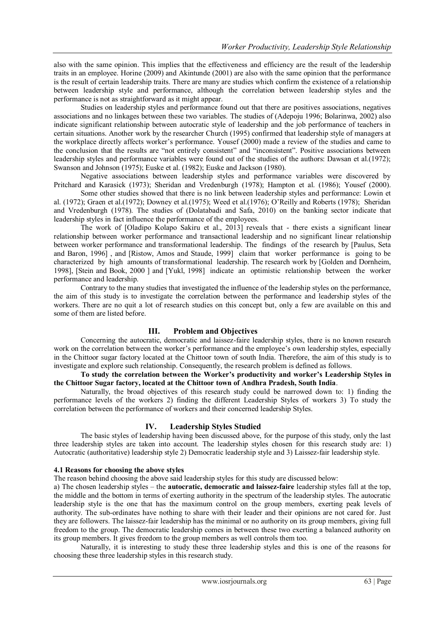also with the same opinion. This implies that the effectiveness and efficiency are the result of the leadership traits in an employee. Horine (2009) and Akintunde (2001) are also with the same opinion that the performance is the result of certain leadership traits. There are many are studies which confirm the existence of a relationship between leadership style and performance, although the correlation between leadership styles and the performance is not as straightforward as it might appear.

Studies on leadership styles and performance found out that there are positives associations, negatives associations and no linkages between these two variables. The studies of (Adepoju 1996; Bolarinwa, 2002) also indicate significant relationship between autocratic style of leadership and the job performance of teachers in certain situations. Another work by the researcher Church (1995) confirmed that leadership style of managers at the workplace directly affects worker"s performance. Yousef (2000) made a review of the studies and came to the conclusion that the results are "not entirely consistent" and "inconsistent". Positive associations between leadership styles and performance variables were found out of the studies of the authors: Dawsan et al.(1972); Swanson and Johnson (1975); Euske et al. (1982); Euske and Jackson (1980).

Negative associations between leadership styles and performance variables were discovered by Pritchard and Karasick (1973); Sheridan and Vredenburgh (1978); Hampton et al. (1986); Yousef (2000).

Some other studies showed that there is no link between leadership styles and performance: Lowin et al. (1972); Graen et al.(1972); Downey et al.(1975); Weed et al.(1976); O"Reilly and Roberts (1978); Sheridan and Vredenburgh (1978). The studies of (Dolatabadi and Safa, 2010) on the banking sector indicate that leadership styles in fact influence the performance of the employees.

The work of [Oladipo Kolapo Sakiru et al., 2013] reveals that - there exists a significant linear relationship between worker performance and transactional leadership and no significant linear relationship between worker performance and transformational leadership. The findings of the research by [Paulus, Seta and Baron, 1996] , and [Ristow, Amos and Staude, 1999] claim that worker performance is going to be characterized by high amounts of transformational leadership. The research work by [Golden and Dornheim, 1998], [Stein and Book, 2000 ] and [Yukl, 1998] indicate an optimistic relationship between the worker performance and leadership.

Contrary to the many studies that investigated the influence of the leadership styles on the performance, the aim of this study is to investigate the correlation between the performance and leadership styles of the workers. There are no quit a lot of research studies on this concept but, only a few are available on this and some of them are listed before.

# **III. Problem and Objectives**

Concerning the autocratic, democratic and laissez-faire leadership styles, there is no known research work on the correlation between the worker's performance and the employee's own leadership styles, especially in the Chittoor sugar factory located at the Chittoor town of south India. Therefore, the aim of this study is to investigate and explore such relationship. Consequently, the research problem is defined as follows.

### **To study the correlation between the Worker's productivity and worker's Leadership Styles in the Chittoor Sugar factory, located at the Chittoor town of Andhra Pradesh, South India**.

Naturally, the broad objectives of this research study could be narrowed down to: 1) finding the performance levels of the workers 2) finding the different Leadership Styles of workers 3) To study the correlation between the performance of workers and their concerned leadership Styles.

# **IV. Leadership Styles Studied**

The basic styles of leadership having been discussed above, for the purpose of this study, only the last three leadership styles are taken into account. The leadership styles chosen for this research study are: 1) Autocratic (authoritative) leadership style 2) Democratic leadership style and 3) Laissez-fair leadership style.

# **4.1 Reasons for choosing the above styles**

The reason behind choosing the above said leadership styles for this study are discussed below:

a) The chosen leadership styles – the **autocratic, democratic and laissez-faire** leadership styles fall at the top, the middle and the bottom in terms of exerting authority in the spectrum of the leadership styles. The autocratic leadership style is the one that has the maximum control on the group members, exerting peak levels of authority. The sub-ordinates have nothing to share with their leader and their opinions are not cared for. Just they are followers. The laissez-fair leadership has the minimal or no authority on its group members, giving full freedom to the group. The democratic leadership comes in between these two exerting a balanced authority on its group members. It gives freedom to the group members as well controls them too.

Naturally, it is interesting to study these three leadership styles and this is one of the reasons for choosing these three leadership styles in this research study.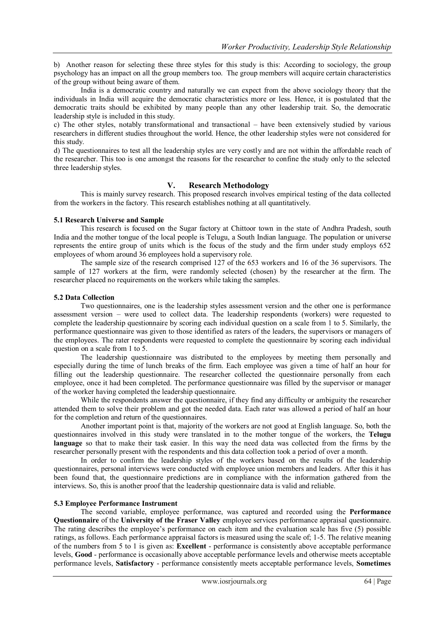b) Another reason for selecting these three styles for this study is this: According to sociology, the group psychology has an impact on all the group members too. The group members will acquire certain characteristics of the group without being aware of them.

India is a democratic country and naturally we can expect from the above sociology theory that the individuals in India will acquire the democratic characteristics more or less. Hence, it is postulated that the democratic traits should be exhibited by many people than any other leadership trait. So, the democratic leadership style is included in this study.

c) The other styles, notably transformational and transactional – have been extensively studied by various researchers in different studies throughout the world. Hence, the other leadership styles were not considered for this study.

d) The questionnaires to test all the leadership styles are very costly and are not within the affordable reach of the researcher. This too is one amongst the reasons for the researcher to confine the study only to the selected three leadership styles.

# **V. Research Methodology**

This is mainly survey research. This proposed research involves empirical testing of the data collected from the workers in the factory. This research establishes nothing at all quantitatively.

#### **5.1 Research Universe and Sample**

This research is focused on the Sugar factory at Chittoor town in the state of Andhra Pradesh, south India and the mother tongue of the local people is Telugu, a South Indian language. The population or universe represents the entire group of units which is the focus of the study and the firm under study employs 652 employees of whom around 36 employees hold a supervisory role.

The sample size of the research comprised 127 of the 653 workers and 16 of the 36 supervisors. The sample of 127 workers at the firm, were randomly selected (chosen) by the researcher at the firm. The researcher placed no requirements on the workers while taking the samples.

#### **5.2 Data Collection**

Two questionnaires, one is the leadership styles assessment version and the other one is performance assessment version – were used to collect data. The leadership respondents (workers) were requested to complete the leadership questionnaire by scoring each individual question on a scale from 1 to 5. Similarly, the performance questionnaire was given to those identified as raters of the leaders, the supervisors or managers of the employees. The rater respondents were requested to complete the questionnaire by scoring each individual question on a scale from 1 to 5.

The leadership questionnaire was distributed to the employees by meeting them personally and especially during the time of lunch breaks of the firm. Each employee was given a time of half an hour for filling out the leadership questionnaire. The researcher collected the questionnaire personally from each employee, once it had been completed. The performance questionnaire was filled by the supervisor or manager of the worker having completed the leadership questionnaire.

While the respondents answer the questionnaire, if they find any difficulty or ambiguity the researcher attended them to solve their problem and got the needed data. Each rater was allowed a period of half an hour for the completion and return of the questionnaires.

Another important point is that, majority of the workers are not good at English language. So, both the questionnaires involved in this study were translated in to the mother tongue of the workers, the **Telugu**  language so that to make their task easier. In this way the need data was collected from the firms by the researcher personally present with the respondents and this data collection took a period of over a month.

In order to confirm the leadership styles of the workers based on the results of the leadership questionnaires, personal interviews were conducted with employee union members and leaders. After this it has been found that, the questionnaire predictions are in compliance with the information gathered from the interviews. So, this is another proof that the leadership questionnaire data is valid and reliable.

#### **5.3 Employee Performance Instrument**

The second variable, employee performance, was captured and recorded using the **Performance Questionnaire** of the **University of the Fraser Valley** employee services performance appraisal questionnaire. The rating describes the employee's performance on each item and the evaluation scale has five (5) possible ratings, as follows. Each performance appraisal factors is measured using the scale of; 1-5. The relative meaning of the numbers from 5 to 1 is given as: **Excellent** - performance is consistently above acceptable performance levels, **Good** - performance is occasionally above acceptable performance levels and otherwise meets acceptable performance levels, **Satisfactory** - performance consistently meets acceptable performance levels, **Sometimes**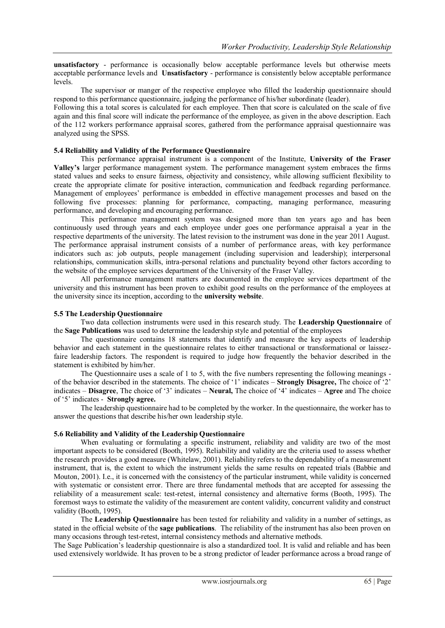**unsatisfactory** - performance is occasionally below acceptable performance levels but otherwise meets acceptable performance levels and **Unsatisfactory** - performance is consistently below acceptable performance levels.

The supervisor or manger of the respective employee who filled the leadership questionnaire should respond to this performance questionnaire, judging the performance of his/her subordinate (leader).

Following this a total scores is calculated for each employee. Then that score is calculated on the scale of five again and this final score will indicate the performance of the employee, as given in the above description. Each of the 112 workers performance appraisal scores, gathered from the performance appraisal questionnaire was analyzed using the SPSS.

# **5.4 Reliability and Validity of the Performance Questionnaire**

This performance appraisal instrument is a component of the Institute, **University of the Fraser Valley's** larger performance management system. The performance management system embraces the firms stated values and seeks to ensure fairness, objectivity and consistency, while allowing sufficient flexibility to create the appropriate climate for positive interaction, communication and feedback regarding performance. Management of employees' performance is embedded in effective management processes and based on the following five processes: planning for performance, compacting, managing performance, measuring performance, and developing and encouraging performance.

This performance management system was designed more than ten years ago and has been continuously used through years and each employee under goes one performance appraisal a year in the respective departments of the university. The latest revision to the instrument was done in the year 2011 August. The performance appraisal instrument consists of a number of performance areas, with key performance indicators such as: job outputs, people management (including supervision and leadership); interpersonal relationships, communication skills, intra-personal relations and punctuality beyond other factors according to the website of the employee services department of the University of the Fraser Valley.

All performance management matters are documented in the employee services department of the university and this instrument has been proven to exhibit good results on the performance of the employees at the university since its inception, according to the **university website**.

# **5.5 The Leadership Questionnaire**

Two data collection instruments were used in this research study. The **Leadership Questionnaire** of the **Sage Publications** was used to determine the leadership style and potential of the employees

The questionnaire contains 18 statements that identify and measure the key aspects of leadership behavior and each statement in the questionnaire relates to either transactional or transformational or laissezfaire leadership factors. The respondent is required to judge how frequently the behavior described in the statement is exhibited by him/her.

The Questionnaire uses a scale of 1 to 5, with the five numbers representing the following meanings of the behavior described in the statements. The choice of "1" indicates – **Strongly Disagree,** The choice of "2" indicates – **Disagree**, The choice of "3" indicates – **Neural,** The choice of "4" indicates – **Agree** and The choice of "5" indicates - **Strongly agree.**

The leadership questionnaire had to be completed by the worker. In the questionnaire, the worker has to answer the questions that describe his/her own leadership style.

# **5.6 Reliability and Validity of the Leadership Questionnaire**

When evaluating or formulating a specific instrument, reliability and validity are two of the most important aspects to be considered (Booth, 1995). Reliability and validity are the criteria used to assess whether the research provides a good measure (Whitelaw, 2001). Reliability refers to the dependability of a measurement instrument, that is, the extent to which the instrument yields the same results on repeated trials (Babbie and Mouton, 2001). I.e., it is concerned with the consistency of the particular instrument, while validity is concerned with systematic or consistent error. There are three fundamental methods that are accepted for assessing the reliability of a measurement scale: test-retest, internal consistency and alternative forms (Booth, 1995). The foremost ways to estimate the validity of the measurement are content validity, concurrent validity and construct validity (Booth, 1995).

The **Leadership Questionnaire** has been tested for reliability and validity in a number of settings, as stated in the official website of the **sage publications**. The reliability of the instrument has also been proven on many occasions through test-retest, internal consistency methods and alternative methods.

The Sage Publication"s leadership questionnaire is also a standardized tool. It is valid and reliable and has been used extensively worldwide. It has proven to be a strong predictor of leader performance across a broad range of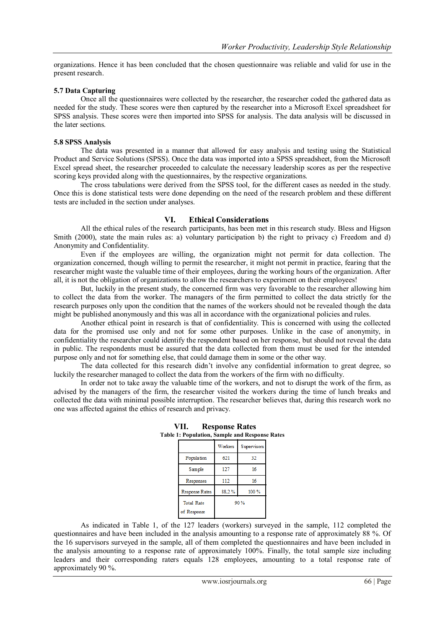organizations. Hence it has been concluded that the chosen questionnaire was reliable and valid for use in the present research.

#### **5.7 Data Capturing**

Once all the questionnaires were collected by the researcher, the researcher coded the gathered data as needed for the study. These scores were then captured by the researcher into a Microsoft Excel spreadsheet for SPSS analysis. These scores were then imported into SPSS for analysis. The data analysis will be discussed in the later sections.

#### **5.8 SPSS Analysis**

The data was presented in a manner that allowed for easy analysis and testing using the Statistical Product and Service Solutions (SPSS). Once the data was imported into a SPSS spreadsheet, from the Microsoft Excel spread sheet, the researcher proceeded to calculate the necessary leadership scores as per the respective scoring keys provided along with the questionnaires, by the respective organizations.

The cross tabulations were derived from the SPSS tool, for the different cases as needed in the study. Once this is done statistical tests were done depending on the need of the research problem and these different tests are included in the section under analyses.

# **VI. Ethical Considerations**

All the ethical rules of the research participants, has been met in this research study. Bless and Higson Smith (2000), state the main rules as: a) voluntary participation b) the right to privacy c) Freedom and d) Anonymity and Confidentiality.

Even if the employees are willing, the organization might not permit for data collection. The organization concerned, though willing to permit the researcher, it might not permit in practice, fearing that the researcher might waste the valuable time of their employees, during the working hours of the organization. After all, it is not the obligation of organizations to allow the researchers to experiment on their employees!

But, luckily in the present study, the concerned firm was very favorable to the researcher allowing him to collect the data from the worker. The managers of the firm permitted to collect the data strictly for the research purposes only upon the condition that the names of the workers should not be revealed though the data might be published anonymously and this was all in accordance with the organizational policies and rules.

Another ethical point in research is that of confidentiality. This is concerned with using the collected data for the promised use only and not for some other purposes. Unlike in the case of anonymity, in confidentiality the researcher could identify the respondent based on her response, but should not reveal the data in public. The respondents must be assured that the data collected from them must be used for the intended purpose only and not for something else, that could damage them in some or the other way.

The data collected for this research didn"t involve any confidential information to great degree, so luckily the researcher managed to collect the data from the workers of the firm with no difficulty.

In order not to take away the valuable time of the workers, and not to disrupt the work of the firm, as advised by the managers of the firm, the researcher visited the workers during the time of lunch breaks and collected the data with minimal possible interruption. The researcher believes that, during this research work no one was affected against the ethics of research and privacy.

| е 1. 1 ориганон, зашрк ани гозроняс |             |  |  |
|-------------------------------------|-------------|--|--|
| <b>W</b> orkers                     | Supervisors |  |  |
| 621                                 | 32          |  |  |
| 127                                 | 16          |  |  |
| 112                                 | 16          |  |  |
| 88.2%                               | 100%        |  |  |
| 90%                                 |             |  |  |
|                                     |             |  |  |

**VII. Response Rates Table 1: Population, Sample and Response Rates**

As indicated in Table 1, of the 127 leaders (workers) surveyed in the sample, 112 completed the questionnaires and have been included in the analysis amounting to a response rate of approximately 88 %. Of the 16 supervisors surveyed in the sample, all of them completed the questionnaires and have been included in the analysis amounting to a response rate of approximately 100%. Finally, the total sample size including leaders and their corresponding raters equals 128 employees, amounting to a total response rate of approximately 90 %.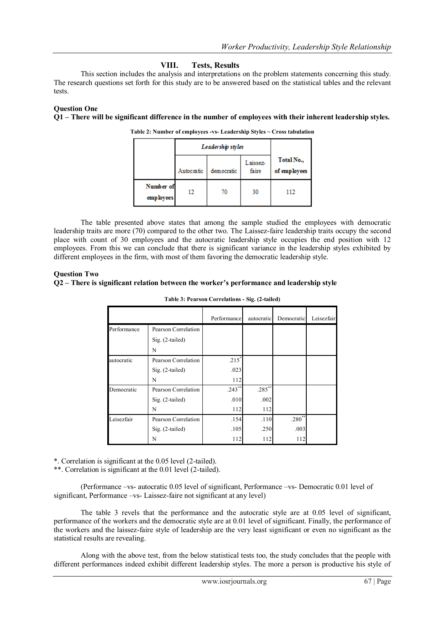# **VIII. Tests, Results**

This section includes the analysis and interpretations on the problem statements concerning this study. The research questions set forth for this study are to be answered based on the statistical tables and the relevant tests.

# **Question One**

**Q1 – There will be significant difference in the number of employees with their inherent leadership styles.**

|                         | Leadership styles |            |                   |                            |
|-------------------------|-------------------|------------|-------------------|----------------------------|
|                         | Autocratic        | democratic | Laissez-<br>faire | Total No.,<br>of employees |
| Number of<br>emp loyees | 12                | 70         | 30                | 112                        |

**Table 2: Number of employees -vs- Leadership Styles ~ Cross tabulation**

The table presented above states that among the sample studied the employees with democratic leadership traits are more (70) compared to the other two. The Laissez-faire leadership traits occupy the second place with count of 30 employees and the autocratic leadership style occupies the end position with 12 employees. From this we can conclude that there is significant variance in the leadership styles exhibited by different employees in the firm, with most of them favoring the democratic leadership style.

### **Question Two**

#### **Q2 – There is significant relation between the worker's performance and leadership style**

|             |                     | Performance | autocratic | Democratic | Leisezfair |
|-------------|---------------------|-------------|------------|------------|------------|
| Performance | Pearson Correlation |             |            |            |            |
|             | $Sig. (2-tailed)$   |             |            |            |            |
|             | N                   |             |            |            |            |
| autocratic  | Pearson Correlation | $.215^{*}$  |            |            |            |
|             | $Sig. (2-tailed)$   | .023        |            |            |            |
|             | N                   | 112         |            |            |            |
| Democratic  | Pearson Correlation | $.243$ **   | $.285***$  |            |            |
|             | $Sig. (2-tailed)$   | .010        | .002       |            |            |
|             | N                   | 112         | 112        |            |            |
| Leisezfair  | Pearson Correlation | .154        | .110       | $.280**$   |            |
|             | $Sig. (2-tailed)$   | .105        | .250       | .003       |            |
|             | N                   | 112         | 112        | 112        |            |

#### **Table 3: Pearson Correlations - Sig. (2-tailed)**

\*. Correlation is significant at the 0.05 level (2-tailed).

\*\*. Correlation is significant at the 0.01 level (2-tailed).

(Performance –vs- autocratic 0.05 level of significant, Performance –vs- Democratic 0.01 level of significant, Performance –vs- Laissez-faire not significant at any level)

The table 3 revels that the performance and the autocratic style are at 0.05 level of significant, performance of the workers and the democratic style are at 0.01 level of significant. Finally, the performance of the workers and the laissez-faire style of leadership are the very least significant or even no significant as the statistical results are revealing.

Along with the above test, from the below statistical tests too, the study concludes that the people with different performances indeed exhibit different leadership styles. The more a person is productive his style of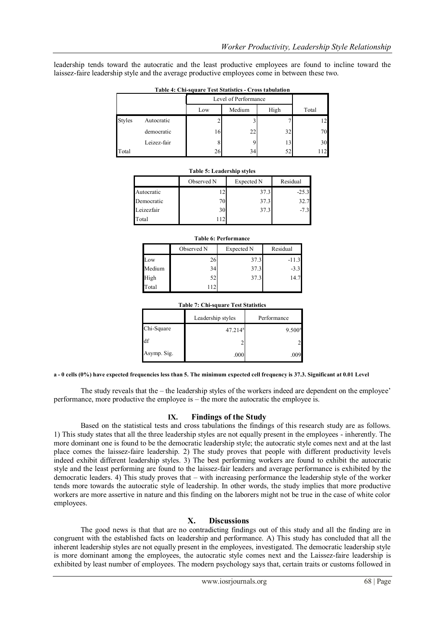leadership tends toward the autocratic and the least productive employees are found to incline toward the laissez-faire leadership style and the average productive employees come in between these two.

| $-$ 0.0 $-$ 0.0 $-$ 0.0 $-$ 0.0 $-$ 0.0 $-$ 0.0 $-$ 0.0 $-$ 0.0 $-$ 0.0 $-$ 0.0 $-$ 0.0 $-$ 0.0 $-$ 0.0 $-$ 0.0 $-$ 0.0 $-$ 0.0 $-$ 0.0 $-$ 0.0 $-$ 0.0 $-$ 0.0 $-$ 0.0 $-$ 0.0 $-$ 0.0 $-$ 0.0 $-$ 0.0 $-$ 0.0 $-$ 0.0 $-$ 0 |             |                      |        |      |       |
|-------------------------------------------------------------------------------------------------------------------------------------------------------------------------------------------------------------------------------|-------------|----------------------|--------|------|-------|
|                                                                                                                                                                                                                               |             | Level of Performance |        |      |       |
|                                                                                                                                                                                                                               |             | Low                  | Medium | High | Total |
| <b>Styles</b>                                                                                                                                                                                                                 | Autocratic  |                      |        |      |       |
|                                                                                                                                                                                                                               | democratic  | 16                   | 22     | 32   | 70    |
|                                                                                                                                                                                                                               | Leizez-fair |                      | q      | 13   | 30    |
| Total                                                                                                                                                                                                                         |             | 26                   | 34     | 52   | 112   |

#### **Table 4: Chi-square Test Statistics - Cross tabulation**

| <b>Table 5: Leadership styles</b> |            |            |          |
|-----------------------------------|------------|------------|----------|
|                                   | Observed N | Expected N | Residual |
| Autocratic                        | 12         | 37.3       | $-25.3$  |
| Democratic                        | 70         | 37.3       | 32.7     |
| Leizezfair                        | 30         | 37.3       | $-7.3$   |
| Total                             | 112.       |            |          |

| <b>Table 6: Performance</b> |            |            |          |  |
|-----------------------------|------------|------------|----------|--|
|                             | Observed N | Expected N | Residual |  |
| $_{\text{row}}$             | 26         | 37.3       | $-11.3$  |  |
| Medium                      | 34         | 37.3       | $-3.3$   |  |
| High                        | 52         | 37.3       | 14.7     |  |
| Total                       | 112        |            |          |  |

# **Table 7: Chi-square Test Statistics** Leadership styles Performance  $Chi-Square$  47.214 9.500 df  $2$  2 Asymp. Sig.  $\begin{array}{ccc} 0.00 & 0.00 \\ 0.00 & 0.09 \end{array}$

**a - 0 cells (0%) have expected frequencies less than 5. The minimum expected cell frequency is 37.3. Significant at 0.01 Level**

The study reveals that the – the leadership styles of the workers indeed are dependent on the employee' performance, more productive the employee is – the more the autocratic the employee is.

#### **IX. Findings of the Study**

Based on the statistical tests and cross tabulations the findings of this research study are as follows. 1) This study states that all the three leadership styles are not equally present in the employees - inherently. The more dominant one is found to be the democratic leadership style; the autocratic style comes next and at the last place comes the laissez-faire leadership. 2) The study proves that people with different productivity levels indeed exhibit different leadership styles. 3) The best performing workers are found to exhibit the autocratic style and the least performing are found to the laissez-fair leaders and average performance is exhibited by the democratic leaders. 4) This study proves that – with increasing performance the leadership style of the worker tends more towards the autocratic style of leadership. In other words, the study implies that more productive workers are more assertive in nature and this finding on the laborers might not be true in the case of white color employees.

#### **X. Discussions**

The good news is that that are no contradicting findings out of this study and all the finding are in congruent with the established facts on leadership and performance. A) This study has concluded that all the inherent leadership styles are not equally present in the employees, investigated. The democratic leadership style is more dominant among the employees, the autocratic style comes next and the Laissez-faire leadership is exhibited by least number of employees. The modern psychology says that, certain traits or customs followed in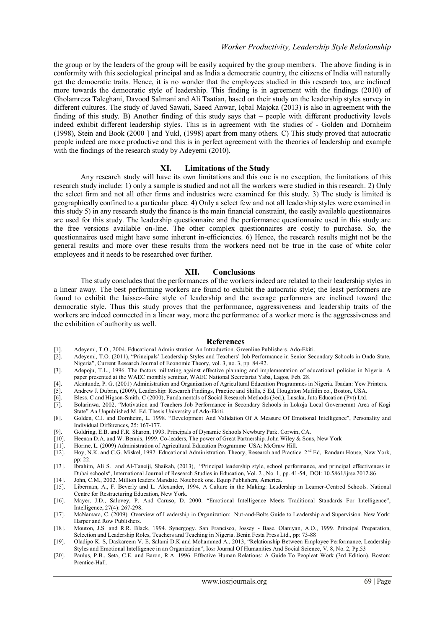the group or by the leaders of the group will be easily acquired by the group members. The above finding is in conformity with this sociological principal and as India a democratic country, the citizens of India will naturally get the democratic traits. Hence, it is no wonder that the employees studied in this research too, are inclined more towards the democratic style of leadership. This finding is in agreement with the findings (2010) of Gholamreza Taleghani, Davood Salmani and Ali Taatian, based on their study on the leadership styles survey in different cultures. The study of Javed Sawati, Saeed Anwar, Iqbal Majoka (2013) is also in agreement with the finding of this study. B) Another finding of this study says that – people with different productivity levels indeed exhibit different leadership styles. This is in agreement with the studies of - Golden and Dornheim (1998), Stein and Book (2000 ] and Yukl, (1998) apart from many others. C) This study proved that autocratic people indeed are more productive and this is in perfect agreement with the theories of leadership and example with the findings of the research study by Adeyemi (2010).

### **XI. Limitations of the Study**

Any research study will have its own limitations and this one is no exception, the limitations of this research study include: 1) only a sample is studied and not all the workers were studied in this research. 2) Only the select firm and not all other firms and industries were examined for this study. 3) The study is limited is geographically confined to a particular place. 4) Only a select few and not all leadership styles were examined in this study 5) in any research study the finance is the main financial constraint, the easily available questionnaires are used for this study. The leadership questionnaire and the performance questionnaire used in this study are the free versions available on-line. The other complex questionnaires are costly to purchase. So, the questionnaires used might have some inherent in-efficiencies. 6) Hence, the research results might not be the general results and more over these results from the workers need not be true in the case of white color employees and it needs to be researched over further.

#### **XII. Conclusions**

The study concludes that the performances of the workers indeed are related to their leadership styles in a linear away. The best performing workers are found to exhibit the autocratic style; the least performers are found to exhibit the laissez-faire style of leadership and the average performers are inclined toward the democratic style. Thus this study proves that the performance, aggressiveness and leadership traits of the workers are indeed connected in a linear way, more the performance of a worker more is the aggressiveness and the exhibition of authority as well.

#### **References**

- [1]. Adeyemi, T.O., 2004. Educational Administration An Introduction. Greenline Publishers. Ado-Ekiti.
- [2]. Adeyemi, T.O. (2011), "Principals" Leadership Styles and Teachers" Job Performance in Senior Secondary Schools in Ondo State, Nigeria", Current Research Journal of Economic Theory, vol. 3, no. 3, pp. 84-92.
- [3]. Adepoju, T.L., 1996. The factors militating against effective planning and implementation of educational policies in Nigeria. A paper presented at the WAEC monthly seminar, WAEC National Secretariat Yaba, Lagos, Feb. 28.
- [4]. Akintunde, P. G. (2001) Administration and Organization of Agricultural Education Programmes in Nigeria. Ibadan: Yew Printers.
- [5]. Andrew J. Dubrin, (2009), Leadership: Research Findings, Practice and Skills, 5 Ed, Houghton Mufiilin co., Boston, USA.<br>[6]. Bless. C and Higson-Smith. C (2000), Fundamentals of Social Research Methods (3ed.), Lusaka,
- [6]. Bless. C and Higson-Smith. C (2000), Fundamentals of Social Research Methods (3ed.), Lusaka, Juta Education (Pvt) Ltd.
- [7]. Bolarinwa. 2002. "Motivation and Teachers Job Performance in Secondary Schools in Lokoja Local Governemnt Area of Kogi State" An Unpublished M. Ed. Thesis University of Ado-Ekiti.
- [8]. Golden, C.J. and Dornheim, L. 1998. "Development And Validation Of A Measure Of Emotional Intelligence", Personality and Individual Differences, 25: 167-177.
- [9]. Goldring, E.B. and F.R. Sharon, 1993. Principals of Dynamic Schools Newbury Park. Corwin, CA. [10]. Heenan D.A. and W. Bennis, 1999. Co-leaders, The power of Great Partnership. John Wiley & Son
- Heenan D.A. and W. Bennis, 1999. Co-leaders, The power of Great Partnership. John Wiley & Sons, New York
- 
- [11]. Horine, L. (2009) Administration of Agricultural Education Programme USA: McGraw Hill. Hoy, N.K. and C.G. Miskel, 1992. Educational Administration. Theory, Research and Practice. 2<sup>nd</sup> Ed,. Randam House, New York, pp: 22.
- [13]. Ibrahim, Ali S. and Al-Taneiji, Shaikah, (2013), "Principal leadership style, school performance, and principal effectiveness in Dubai schools", International Journal of Research Studies in Education, Vol. 2 , No. 1, pp. 41-54, DOI: 10.5861/ijrse.2012.86
- [14]. John, C.M., 2002. Million leaders Mandate. Notebook one. Equip Publishers, America.
- [15]. Liberman, A., F. Beverly and L. Alexander, 1994. A Culture in the Making: Leadership in Learner-Centred Schools. National Centre for Restructuring Education, New York.
- [16]. Mayer, J.D., Salovey, P. And Caruso, D. 2000. "Emotional Intelligence Meets Traditional Standards For Intelligence", Intelligence, 27(4): 267-298.
- [17]. McNamara, C. (2009) Overview of Leadership in Organization: Nut-and-Bolts Guide to Leadership and Supervision. New York: Harper and Row Publishers.
- [18]. Mouton, J.S. and R.R. Black, 1994. Synergogy. San Francisco, Jossey Base. Olaniyan, A.O., 1999. Principal Preparation, Selection and Leadership Roles, Teachers and Teaching in Nigeria. Benin Festa Press Ltd., pp: 73-88
- [19]. Oladipo K. S, Daskareem V. E, Salami D.K and Mohammed A., 2013, "Relationship Between Employee Performance, Leadership Styles and Emotional Intelligence in an Organization", Iosr Journal Of Humanities And Social Science, V. 8, No. 2, Pp.53
- [20]. Paulus, P.B., Seta, C.E. and Baron, R.A. 1996. Effective Human Relations: A Guide To Peopleat Work (3rd Edition). Boston: Prentice-Hall.